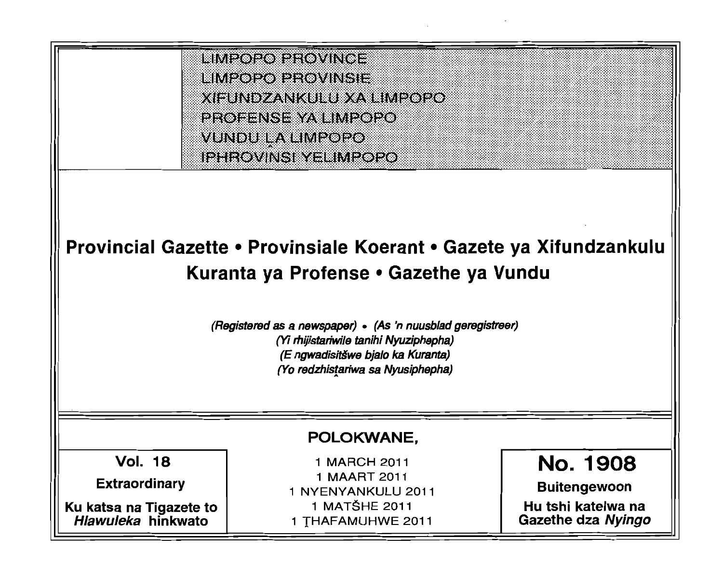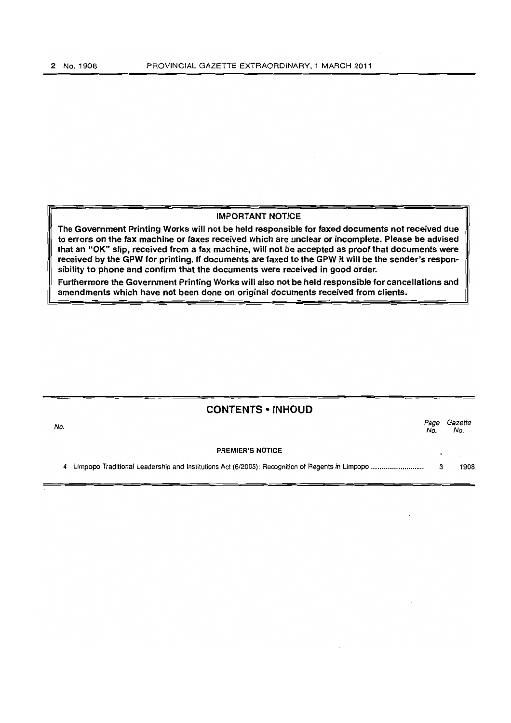## IMPORTANT NOTICE

The Government Printing Works will not be held responsible for faxed documents not received due to errors on the fax machine or faxes received which are unclear or incomplete. Please be advised that an "OK" slip, received from a fax machine, will not be accepted as proof that documents were received by the GPW for printing. If documents are faxed to the GPW it will be the sender's responsibility to phone and confirm that the documents were received in good order.

Furthermore the Government Printing Works will also not be held responsible for cancellations and amendments which have not been done on original documents received from clients.

| No. | <b>CONTENTS • INHOUD</b><br>Page<br>No. |  |      |  |
|-----|-----------------------------------------|--|------|--|
|     | <b>PREMIER'S NOTICE</b>                 |  |      |  |
|     |                                         |  | 1908 |  |